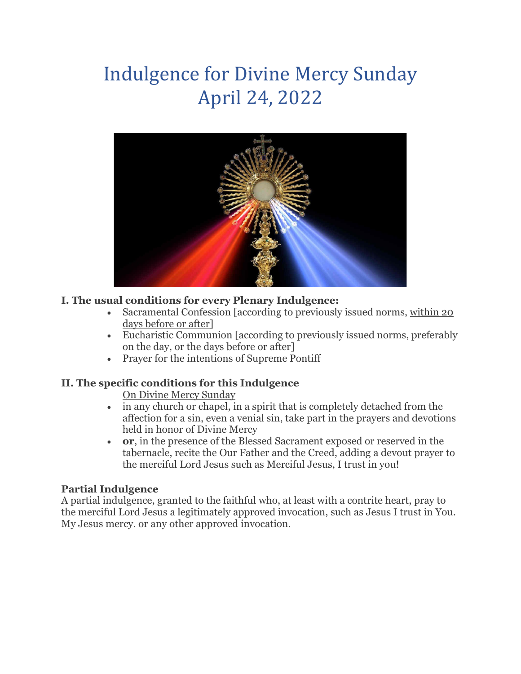# Indulgence for Divine Mercy Sunday April 24, 2022



### **I. The usual conditions for every Plenary Indulgence:**

- Sacramental Confession [according to previously issued norms, within 20 days before or after]
- Eucharistic Communion [according to previously issued norms, preferably on the day, or the days before or after]
- Prayer for the intentions of Supreme Pontiff

#### **II. The specific conditions for this Indulgence**

On Divine Mercy Sunday

- in any church or chapel, in a spirit that is completely detached from the affection for a sin, even a venial sin, take part in the prayers and devotions held in honor of Divine Mercy
- **or**, in the presence of the Blessed Sacrament exposed or reserved in the tabernacle, recite the Our Father and the Creed, adding a devout prayer to the merciful Lord Jesus such as Merciful Jesus, I trust in you!

#### **Partial Indulgence**

A partial indulgence, granted to the faithful who, at least with a contrite heart, pray to the merciful Lord Jesus a legitimately approved invocation, such as Jesus I trust in You. My Jesus mercy. or any other approved invocation.